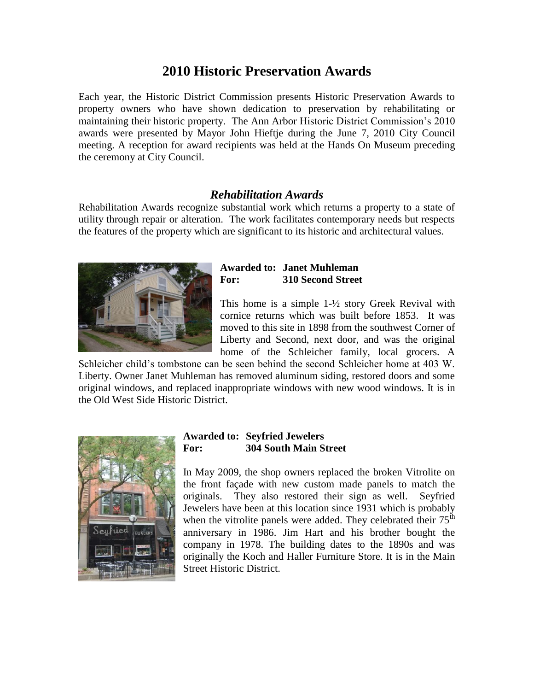# **2010 Historic Preservation Awards**

Each year, the Historic District Commission presents Historic Preservation Awards to property owners who have shown dedication to preservation by rehabilitating or maintaining their historic property. The Ann Arbor Historic District Commission's 2010 awards were presented by Mayor John Hieftje during the June 7, 2010 City Council meeting. A reception for award recipients was held at the Hands On Museum preceding the ceremony at City Council.

## *Rehabilitation Awards*

Rehabilitation Awards recognize substantial work which returns a property to a state of utility through repair or alteration. The work facilitates contemporary needs but respects the features of the property which are significant to its historic and architectural values.



### **Awarded to: Janet Muhleman For: 310 Second Street**

This home is a simple 1-½ story Greek Revival with cornice returns which was built before 1853. It was moved to this site in 1898 from the southwest Corner of Liberty and Second, next door, and was the original home of the Schleicher family, local grocers. A

Schleicher child's tombstone can be seen behind the second Schleicher home at 403 W. Liberty. Owner Janet Muhleman has removed aluminum siding, restored doors and some original windows, and replaced inappropriate windows with new wood windows. It is in the Old West Side Historic District.



#### **Awarded to: Seyfried Jewelers For: 304 South Main Street**

In May 2009, the shop owners replaced the broken Vitrolite on the front façade with new custom made panels to match the originals. They also restored their sign as well. Seyfried Jewelers have been at this location since 1931 which is probably when the vitrolite panels were added. They celebrated their  $75<sup>th</sup>$ anniversary in 1986. Jim Hart and his brother bought the company in 1978. The building dates to the 1890s and was originally the Koch and Haller Furniture Store. It is in the Main Street Historic District.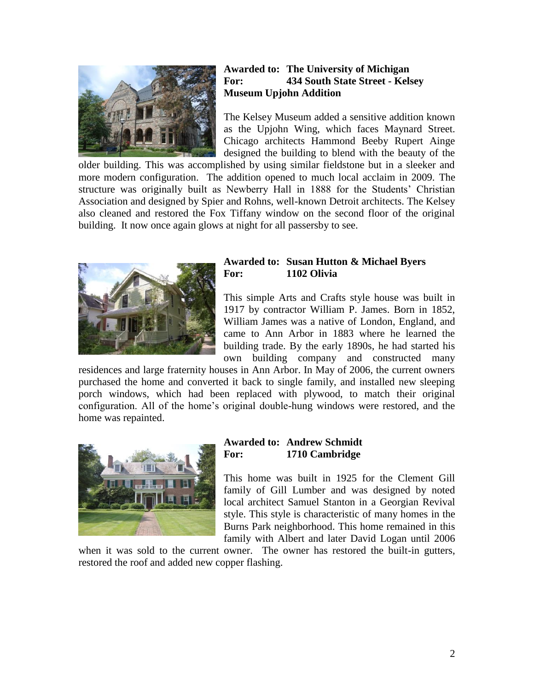

### **Awarded to: The University of Michigan For: 434 South State Street - Kelsey Museum Upjohn Addition**

The Kelsey Museum added a sensitive addition known as the Upjohn Wing, which faces Maynard Street. Chicago architects Hammond Beeby Rupert Ainge designed the building to blend with the beauty of the

older building. This was accomplished by using similar fieldstone but in a sleeker and more modern configuration. The addition opened to much local acclaim in 2009. The structure was originally built as Newberry Hall in 1888 for the Students' Christian Association and designed by Spier and Rohns, well-known Detroit architects. The Kelsey also cleaned and restored the Fox Tiffany window on the second floor of the original building. It now once again glows at night for all passersby to see.



#### **Awarded to: Susan Hutton & Michael Byers For: 1102 Olivia**

This simple Arts and Crafts style house was built in 1917 by contractor William P. James. Born in 1852, William James was a native of London, England, and came to Ann Arbor in 1883 where he learned the building trade. By the early 1890s, he had started his own building company and constructed many

residences and large fraternity houses in Ann Arbor. In May of 2006, the current owners purchased the home and converted it back to single family, and installed new sleeping porch windows, which had been replaced with plywood, to match their original configuration. All of the home's original double-hung windows were restored, and the home was repainted.



## **Awarded to: Andrew Schmidt For: 1710 Cambridge**

This home was built in 1925 for the Clement Gill family of Gill Lumber and was designed by noted local architect Samuel Stanton in a Georgian Revival style. This style is characteristic of many homes in the Burns Park neighborhood. This home remained in this family with Albert and later David Logan until 2006

when it was sold to the current owner. The owner has restored the built-in gutters, restored the roof and added new copper flashing.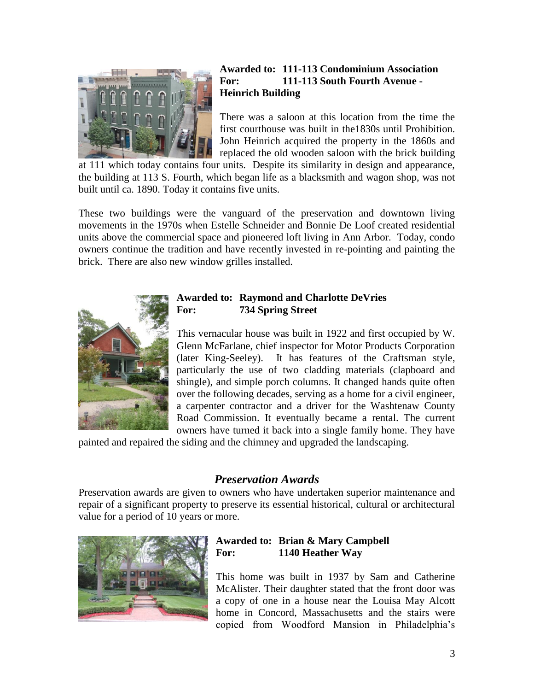

## **Awarded to: 111-113 Condominium Association For: 111-113 South Fourth Avenue - Heinrich Building**

There was a saloon at this location from the time the first courthouse was built in the1830s until Prohibition. John Heinrich acquired the property in the 1860s and replaced the old wooden saloon with the brick building

at 111 which today contains four units. Despite its similarity in design and appearance, the building at 113 S. Fourth, which began life as a blacksmith and wagon shop, was not built until ca. 1890. Today it contains five units.

These two buildings were the vanguard of the preservation and downtown living movements in the 1970s when Estelle Schneider and Bonnie De Loof created residential units above the commercial space and pioneered loft living in Ann Arbor. Today, condo owners continue the tradition and have recently invested in re-pointing and painting the brick. There are also new window grilles installed.



## **Awarded to: Raymond and Charlotte DeVries For: 734 Spring Street**

This vernacular house was built in 1922 and first occupied by W. Glenn McFarlane, chief inspector for Motor Products Corporation (later King-Seeley). It has features of the Craftsman style, particularly the use of two cladding materials (clapboard and shingle), and simple porch columns. It changed hands quite often over the following decades, serving as a home for a civil engineer, a carpenter contractor and a driver for the Washtenaw County Road Commission. It eventually became a rental. The current owners have turned it back into a single family home. They have

painted and repaired the siding and the chimney and upgraded the landscaping.

## *Preservation Awards*

Preservation awards are given to owners who have undertaken superior maintenance and repair of a significant property to preserve its essential historical, cultural or architectural value for a period of 10 years or more.



## **Awarded to: Brian & Mary Campbell For: 1140 Heather Way**

This home was built in 1937 by Sam and Catherine McAlister. Their daughter stated that the front door was a copy of one in a house near the Louisa May Alcott home in Concord, Massachusetts and the stairs were copied from Woodford Mansion in Philadelphia's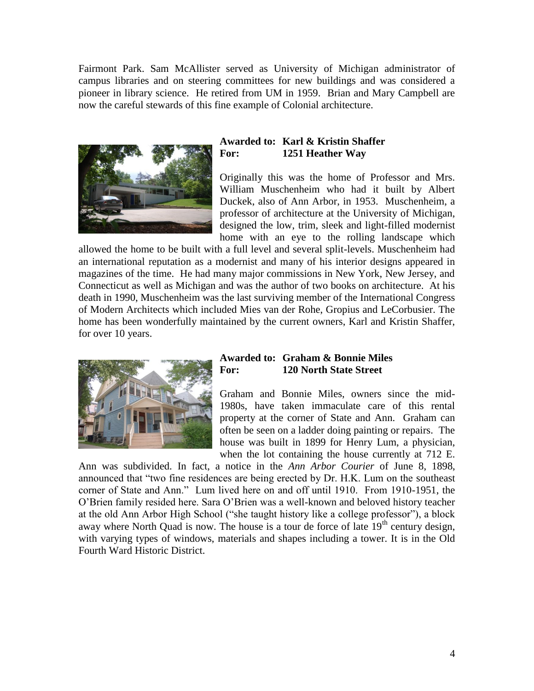Fairmont Park. Sam McAllister served as University of Michigan administrator of campus libraries and on steering committees for new buildings and was considered a pioneer in library science. He retired from UM in 1959. Brian and Mary Campbell are now the careful stewards of this fine example of Colonial architecture.



### **Awarded to: Karl & Kristin Shaffer For: 1251 Heather Way**

Originally this was the home of Professor and Mrs. William Muschenheim who had it built by Albert Duckek, also of Ann Arbor, in 1953. Muschenheim, a professor of architecture at the University of Michigan, designed the low, trim, sleek and light-filled modernist home with an eye to the rolling landscape which

allowed the home to be built with a full level and several split-levels. Muschenheim had an international reputation as a modernist and many of his interior designs appeared in magazines of the time. He had many major commissions in New York, New Jersey, and Connecticut as well as Michigan and was the author of two books on architecture. At his death in 1990, Muschenheim was the last surviving member of the International Congress of Modern Architects which included Mies van der Rohe, Gropius and LeCorbusier. The home has been wonderfully maintained by the current owners, Karl and Kristin Shaffer, for over 10 years.



#### **Awarded to: Graham & Bonnie Miles For: 120 North State Street**

Graham and Bonnie Miles, owners since the mid-1980s, have taken immaculate care of this rental property at the corner of State and Ann. Graham can often be seen on a ladder doing painting or repairs. The house was built in 1899 for Henry Lum, a physician, when the lot containing the house currently at 712 E.

Ann was subdivided. In fact, a notice in the *Ann Arbor Courier* of June 8, 1898, announced that "two fine residences are being erected by Dr. H.K. Lum on the southeast corner of State and Ann." Lum lived here on and off until 1910. From 1910-1951, the O'Brien family resided here. Sara O'Brien was a well-known and beloved history teacher at the old Ann Arbor High School ("she taught history like a college professor"), a block away where North Quad is now. The house is a tour de force of late  $19<sup>th</sup>$  century design, with varying types of windows, materials and shapes including a tower. It is in the Old Fourth Ward Historic District.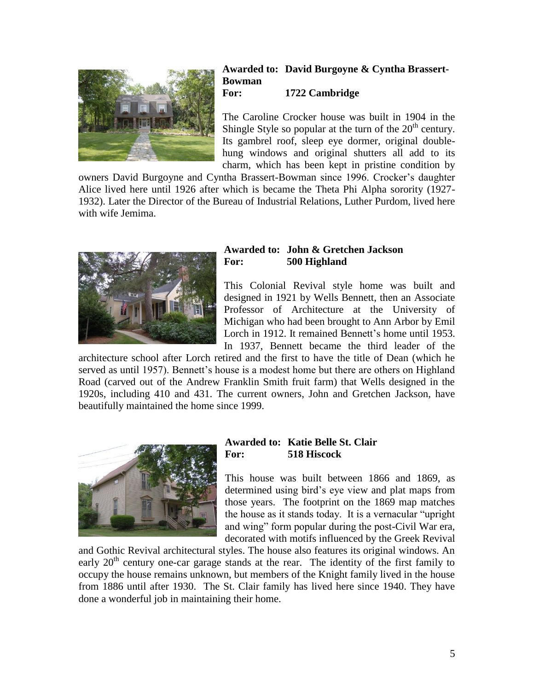

#### **Awarded to: David Burgoyne & Cyntha Brassert-Bowman For: 1722 Cambridge**

The Caroline Crocker house was built in 1904 in the Shingle Style so popular at the turn of the  $20<sup>th</sup>$  century. Its gambrel roof, sleep eye dormer, original doublehung windows and original shutters all add to its charm, which has been kept in pristine condition by

owners David Burgoyne and Cyntha Brassert-Bowman since 1996. Crocker's daughter Alice lived here until 1926 after which is became the Theta Phi Alpha sorority (1927- 1932). Later the Director of the Bureau of Industrial Relations, Luther Purdom, lived here with wife Jemima.



#### **Awarded to: John & Gretchen Jackson For: 500 Highland**

This Colonial Revival style home was built and designed in 1921 by Wells Bennett, then an Associate Professor of Architecture at the University of Michigan who had been brought to Ann Arbor by Emil Lorch in 1912. It remained Bennett's home until 1953. In 1937, Bennett became the third leader of the

architecture school after Lorch retired and the first to have the title of Dean (which he served as until 1957). Bennett's house is a modest home but there are others on Highland Road (carved out of the Andrew Franklin Smith fruit farm) that Wells designed in the 1920s, including 410 and 431. The current owners, John and Gretchen Jackson, have beautifully maintained the home since 1999.



## **Awarded to: Katie Belle St. Clair For: 518 Hiscock**

This house was built between 1866 and 1869, as determined using bird's eye view and plat maps from those years. The footprint on the 1869 map matches the house as it stands today. It is a vernacular "upright and wing" form popular during the post-Civil War era, decorated with motifs influenced by the Greek Revival

and Gothic Revival architectural styles. The house also features its original windows. An early  $20<sup>th</sup>$  century one-car garage stands at the rear. The identity of the first family to occupy the house remains unknown, but members of the Knight family lived in the house from 1886 until after 1930. The St. Clair family has lived here since 1940. They have done a wonderful job in maintaining their home.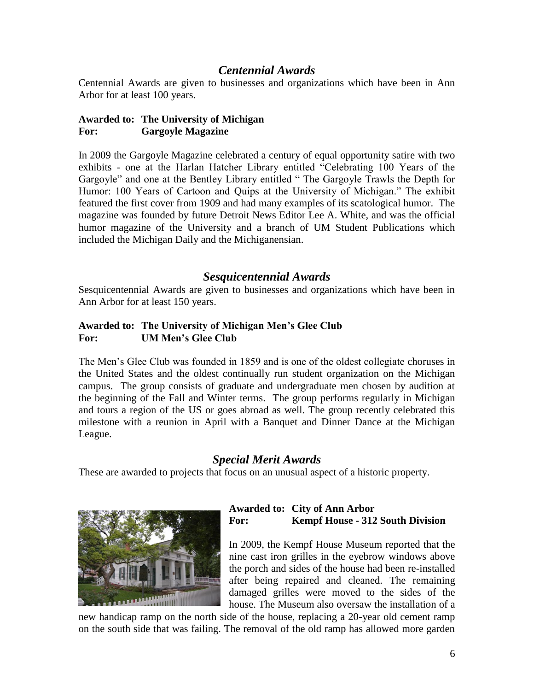## *Centennial Awards*

Centennial Awards are given to businesses and organizations which have been in Ann Arbor for at least 100 years.

## **Awarded to: The University of Michigan For: Gargoyle Magazine**

In 2009 the Gargoyle Magazine celebrated a century of equal opportunity satire with two exhibits - one at the Harlan Hatcher Library entitled "Celebrating 100 Years of the Gargoyle" and one at the Bentley Library entitled " The Gargoyle Trawls the Depth for Humor: 100 Years of Cartoon and Quips at the University of Michigan." The exhibit featured the first cover from 1909 and had many examples of its scatological humor. The magazine was founded by future Detroit News Editor Lee A. White, and was the official humor magazine of the University and a branch of UM Student Publications which included the Michigan Daily and the Michiganensian.

## *Sesquicentennial Awards*

Sesquicentennial Awards are given to businesses and organizations which have been in Ann Arbor for at least 150 years.

## **Awarded to: The University of Michigan Men's Glee Club For: UM Men's Glee Club**

The Men's Glee Club was founded in 1859 and is one of the oldest collegiate choruses in the United States and the oldest continually run student organization on the Michigan campus. The group consists of graduate and undergraduate men chosen by audition at the beginning of the Fall and Winter terms. The group performs regularly in Michigan and tours a region of the US or goes abroad as well. The group recently celebrated this milestone with a reunion in April with a Banquet and Dinner Dance at the Michigan League.

## *Special Merit Awards*

These are awarded to projects that focus on an unusual aspect of a historic property.



## **Awarded to: City of Ann Arbor For: Kempf House - 312 South Division**

In 2009, the Kempf House Museum reported that the nine cast iron grilles in the eyebrow windows above the porch and sides of the house had been re-installed after being repaired and cleaned. The remaining damaged grilles were moved to the sides of the house. The Museum also oversaw the installation of a

new handicap ramp on the north side of the house, replacing a 20-year old cement ramp on the south side that was failing. The removal of the old ramp has allowed more garden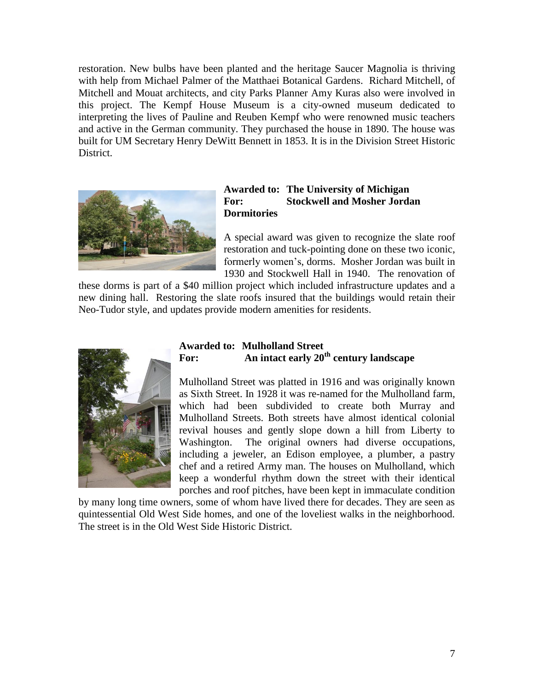restoration. New bulbs have been planted and the heritage Saucer Magnolia is thriving with help from Michael Palmer of the Matthaei Botanical Gardens. Richard Mitchell, of Mitchell and Mouat architects, and city Parks Planner Amy Kuras also were involved in this project. The Kempf House Museum is a city-owned museum dedicated to interpreting the lives of Pauline and Reuben Kempf who were renowned music teachers and active in the German community. They purchased the house in 1890. The house was built for UM Secretary Henry DeWitt Bennett in 1853. It is in the Division Street Historic District.



#### **Awarded to: The University of Michigan For: Stockwell and Mosher Jordan Dormitories**

A special award was given to recognize the slate roof restoration and tuck-pointing done on these two iconic, formerly women's, dorms. Mosher Jordan was built in 1930 and Stockwell Hall in 1940. The renovation of

these dorms is part of a \$40 million project which included infrastructure updates and a new dining hall. Restoring the slate roofs insured that the buildings would retain their Neo-Tudor style, and updates provide modern amenities for residents.



## **Awarded to: Mulholland Street For: An intact early 20th century landscape**

Mulholland Street was platted in 1916 and was originally known as Sixth Street. In 1928 it was re-named for the Mulholland farm, which had been subdivided to create both Murray and Mulholland Streets. Both streets have almost identical colonial revival houses and gently slope down a hill from Liberty to Washington. The original owners had diverse occupations, including a jeweler, an Edison employee, a plumber, a pastry chef and a retired Army man. The houses on Mulholland, which keep a wonderful rhythm down the street with their identical porches and roof pitches, have been kept in immaculate condition

by many long time owners, some of whom have lived there for decades. They are seen as quintessential Old West Side homes, and one of the loveliest walks in the neighborhood. The street is in the Old West Side Historic District.